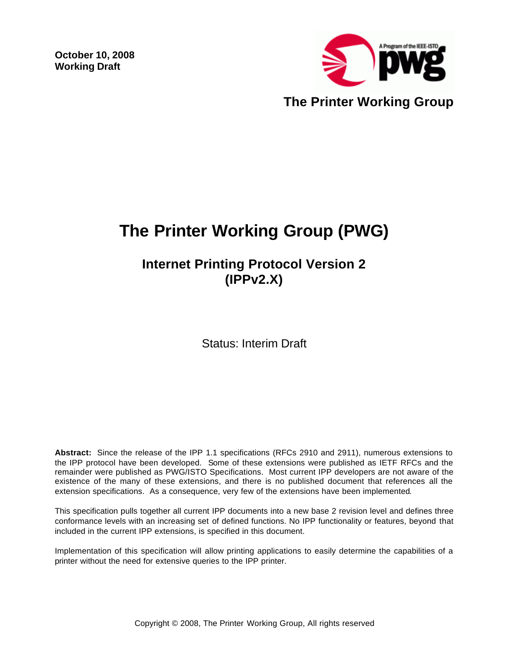**October 10, 2008 Working Draft** 



# **The Printer Working Group (PWG)**

# **Internet Printing Protocol Version 2 (IPPv2.X)**

Status: Interim Draft

**Abstract:** Since the release of the IPP 1.1 specifications (RFCs 2910 and 2911), numerous extensions to the IPP protocol have been developed. Some of these extensions were published as IETF RFCs and the remainder were published as PWG/ISTO Specifications. Most current IPP developers are not aware of the existence of the many of these extensions, and there is no published document that references all the extension specifications. As a consequence, very few of the extensions have been implemented.

This specification pulls together all current IPP documents into a new base 2 revision level and defines three conformance levels with an increasing set of defined functions. No IPP functionality or features, beyond that included in the current IPP extensions, is specified in this document.

Implementation of this specification will allow printing applications to easily determine the capabilities of a printer without the need for extensive queries to the IPP printer.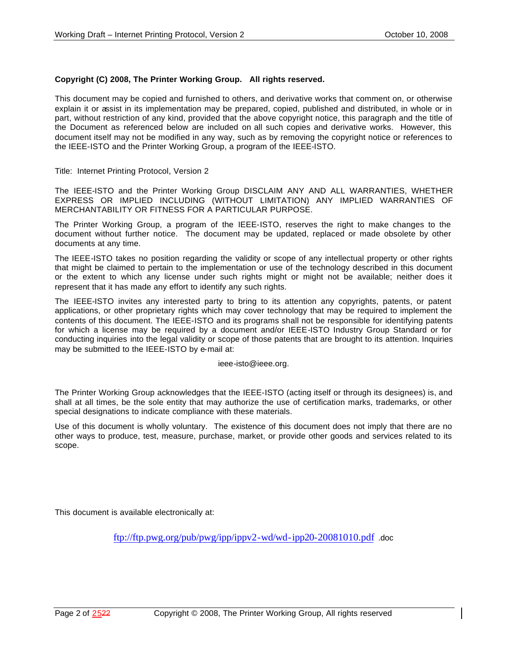#### **Copyright (C) 2008, The Printer Working Group. All rights reserved.**

This document may be copied and furnished to others, and derivative works that comment on, or otherwise explain it or assist in its implementation may be prepared, copied, published and distributed, in whole or in part, without restriction of any kind, provided that the above copyright notice, this paragraph and the title of the Document as referenced below are included on all such copies and derivative works. However, this document itself may not be modified in any way, such as by removing the copyright notice or references to the IEEE-ISTO and the Printer Working Group, a program of the IEEE-ISTO.

Title: Internet Printing Protocol, Version 2

The IEEE-ISTO and the Printer Working Group DISCLAIM ANY AND ALL WARRANTIES, WHETHER EXPRESS OR IMPLIED INCLUDING (WITHOUT LIMITATION) ANY IMPLIED WARRANTIES OF MERCHANTABILITY OR FITNESS FOR A PARTICULAR PURPOSE.

The Printer Working Group, a program of the IEEE-ISTO, reserves the right to make changes to the document without further notice. The document may be updated, replaced or made obsolete by other documents at any time.

The IEEE-ISTO takes no position regarding the validity or scope of any intellectual property or other rights that might be claimed to pertain to the implementation or use of the technology described in this document or the extent to which any license under such rights might or might not be available; neither does it represent that it has made any effort to identify any such rights.

The IEEE-ISTO invites any interested party to bring to its attention any copyrights, patents, or patent applications, or other proprietary rights which may cover technology that may be required to implement the contents of this document. The IEEE-ISTO and its programs shall not be responsible for identifying patents for which a license may be required by a document and/or IEEE-ISTO Industry Group Standard or for conducting inquiries into the legal validity or scope of those patents that are brought to its attention. Inquiries may be submitted to the IEEE-ISTO by e-mail at:

ieee-isto@ieee.org.

The Printer Working Group acknowledges that the IEEE-ISTO (acting itself or through its designees) is, and shall at all times, be the sole entity that may authorize the use of certification marks, trademarks, or other special designations to indicate compliance with these materials.

Use of this document is wholly voluntary. The existence of this document does not imply that there are no other ways to produce, test, measure, purchase, market, or provide other goods and services related to its scope.

This document is available electronically at:

ftp://ftp.pwg.org/pub/pwg/ipp/ippv2-wd/wd-ipp20-20081010.pdf .doc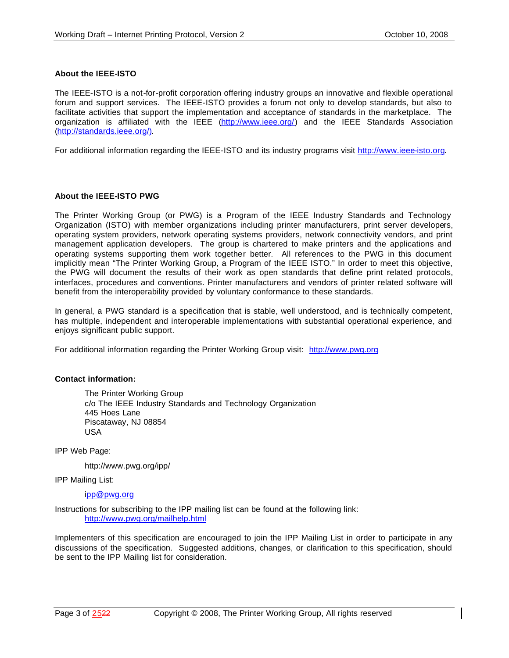#### **About the IEEE-ISTO**

The IEEE-ISTO is a not-for-profit corporation offering industry groups an innovative and flexible operational forum and support services. The IEEE-ISTO provides a forum not only to develop standards, but also to facilitate activities that support the implementation and acceptance of standards in the marketplace. The organization is affiliated with the IEEE (http://www.ieee.org/) and the IEEE Standards Association (http://standards.ieee.org/).

For additional information regarding the IEEE-ISTO and its industry programs visit http://www.ieee-isto.org.

#### **About the IEEE-ISTO PWG**

The Printer Working Group (or PWG) is a Program of the IEEE Industry Standards and Technology Organization (ISTO) with member organizations including printer manufacturers, print server developers, operating system providers, network operating systems providers, network connectivity vendors, and print management application developers. The group is chartered to make printers and the applications and operating systems supporting them work together better. All references to the PWG in this document implicitly mean "The Printer Working Group, a Program of the IEEE ISTO." In order to meet this objective, the PWG will document the results of their work as open standards that define print related protocols, interfaces, procedures and conventions. Printer manufacturers and vendors of printer related software will benefit from the interoperability provided by voluntary conformance to these standards.

In general, a PWG standard is a specification that is stable, well understood, and is technically competent, has multiple, independent and interoperable implementations with substantial operational experience, and enjoys significant public support.

For additional information regarding the Printer Working Group visit: http://www.pwg.org

#### **Contact information:**

The Printer Working Group c/o The IEEE Industry Standards and Technology Organization 445 Hoes Lane Piscataway, NJ 08854 USA

IPP Web Page:

http://www.pwg.org/ipp/

IPP Mailing List:

ipp@pwg.org

Instructions for subscribing to the IPP mailing list can be found at the following link: http://www.pwg.org/mailhelp.html

Implementers of this specification are encouraged to join the IPP Mailing List in order to participate in any discussions of the specification. Suggested additions, changes, or clarification to this specification, should be sent to the IPP Mailing list for consideration.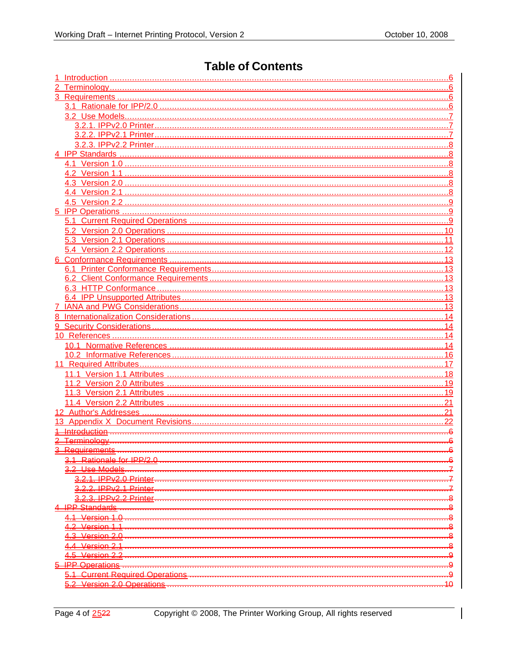# **Table of Contents**

| <del>Kequirement</del>                 |    |
|----------------------------------------|----|
| <u>Rationale for IPP/2 0</u>           |    |
| <b>Lise Model</b>                      |    |
| <b>IPPv2.0 Printer</b>                 |    |
| Printer                                |    |
| 3.2.3. IPPv2.2 Printer                 |    |
| <b>IPP Standards</b>                   |    |
| Version 1.0                            |    |
| 2 Version 1.1                          |    |
| 3 Version 2.0                          |    |
| 4 Version 2.1                          |    |
| 4.5 Version 2.2                        | g  |
| <b>5 IPP Operations</b>                |    |
| <b>5.1 Current Required Operations</b> | g  |
| 5.2 Version 2.0 Operations             | 10 |
|                                        |    |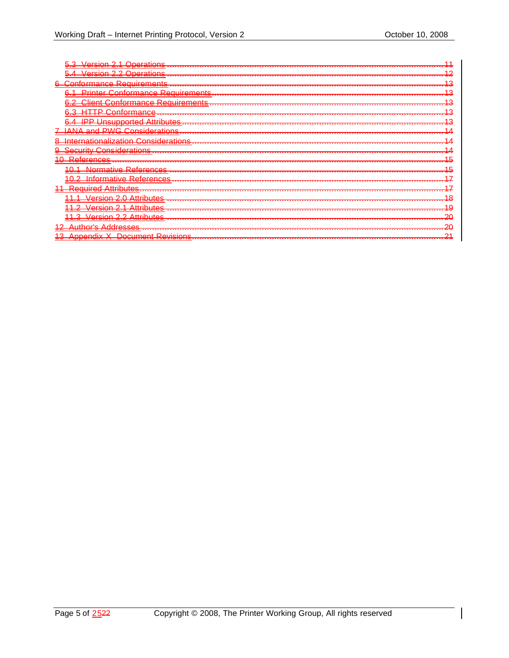| <del>_Operatio<u>ns</u> </del><br>lareinn.<br><b>BELLEVILLE CONTROL</b>    |   |
|----------------------------------------------------------------------------|---|
| <u> Version 2.2 Operations …………</u><br><del>. .</del>                      | ◠ |
| :∩nf∩rman∩e Requirements<br>6                                              | ◠ |
| Printer Conformance Requirements                                           |   |
| Client Conformance Requirements…………                                        |   |
| Ф                                                                          |   |
| D<br>Unsupported Attributes……………<br><b>The Contract</b>                    |   |
| ທທລ<br>Considerations<br><del>.</del>                                      |   |
| <u> Internationalization Considerations</u>                                |   |
| <u>Security Considerations…</u>                                            |   |
| References                                                                 |   |
| <u>Normative References</u>                                                |   |
| . <del>.</del><br>Informative References                                   |   |
| $+ - -$<br>D<br>Attributae<br><b>ANUITAN</b><br><del>.</del>               |   |
| . <del>ttr<u>ibutes</u> </del><br>חרוסי                                    | റ |
| <b>Service</b><br>$\Delta$ reinn<br>ttributae                              | c |
| <del>.</del><br><u>Attributac</u><br>′∆rei∩n                               |   |
| <del>הר סטוטטוווור בה</del><br>Addresses                                   |   |
| <del>a Auurooooo </del><br>Revisions<br><b>Document</b><br><b>Innandiv</b> |   |
| <del>Apponum A</del><br><b>EXPANDIMENT</b>                                 |   |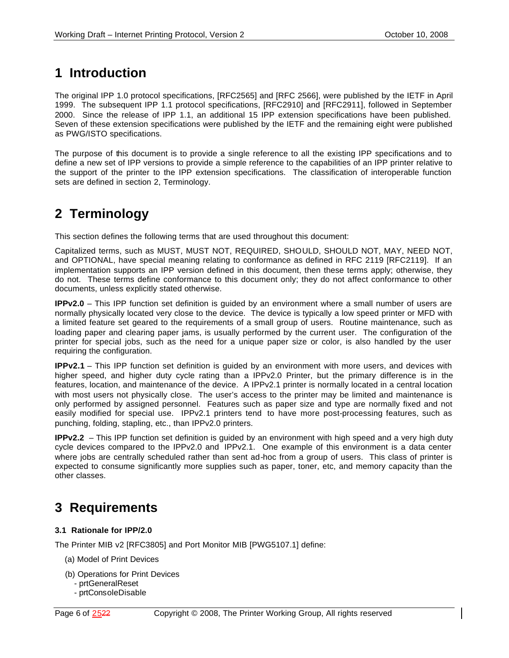# **1 Introduction**

The original IPP 1.0 protocol specifications, [RFC2565] and [RFC 2566], were published by the IETF in April 1999. The subsequent IPP 1.1 protocol specifications, [RFC2910] and [RFC2911], followed in September 2000. Since the release of IPP 1.1, an additional 15 IPP extension specifications have been published. Seven of these extension specifications were published by the IETF and the remaining eight were published as PWG/ISTO specifications.

The purpose of this document is to provide a single reference to all the existing IPP specifications and to define a new set of IPP versions to provide a simple reference to the capabilities of an IPP printer relative to the support of the printer to the IPP extension specifications. The classification of interoperable function sets are defined in section 2, Terminology.

# **2 Terminology**

This section defines the following terms that are used throughout this document:

Capitalized terms, such as MUST, MUST NOT, REQUIRED, SHOULD, SHOULD NOT, MAY, NEED NOT, and OPTIONAL, have special meaning relating to conformance as defined in RFC 2119 [RFC2119]. If an implementation supports an IPP version defined in this document, then these terms apply; otherwise, they do not. These terms define conformance to this document only; they do not affect conformance to other documents, unless explicitly stated otherwise.

**IPPv2.0** – This IPP function set definition is guided by an environment where a small number of users are normally physically located very close to the device. The device is typically a low speed printer or MFD with a limited feature set geared to the requirements of a small group of users. Routine maintenance, such as loading paper and clearing paper jams, is usually performed by the current user. The configuration of the printer for special jobs, such as the need for a unique paper size or color, is also handled by the user requiring the configuration.

**IPPv2.1** – This IPP function set definition is guided by an environment with more users, and devices with higher speed, and higher duty cycle rating than a IPPv2.0 Printer, but the primary difference is in the features, location, and maintenance of the device. A IPPv2.1 printer is normally located in a central location with most users not physically close. The user's access to the printer may be limited and maintenance is only performed by assigned personnel. Features such as paper size and type are normally fixed and not easily modified for special use. IPPv2.1 printers tend to have more post-processing features, such as punching, folding, stapling, etc., than IPPv2.0 printers.

**IPPv2.2** – This IPP function set definition is guided by an environment with high speed and a very high duty cycle devices compared to the IPPv2.0 and IPPv2.1. One example of this environment is a data center where jobs are centrally scheduled rather than sent ad-hoc from a group of users. This class of printer is expected to consume significantly more supplies such as paper, toner, etc, and memory capacity than the other classes.

# **3 Requirements**

# **3.1 Rationale for IPP/2.0**

The Printer MIB v2 [RFC3805] and Port Monitor MIB [PWG5107.1] define:

- (a) Model of Print Devices
- (b) Operations for Print Devices
	- prtGeneralReset
	- prtConsoleDisable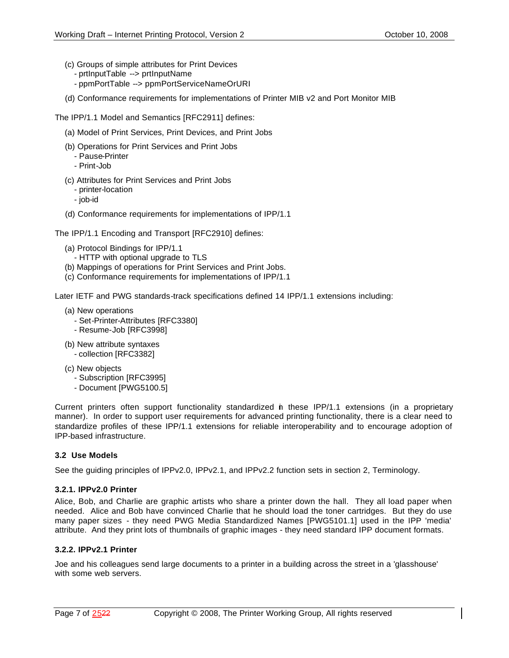- (c) Groups of simple attributes for Print Devices
	- prtInputTable --> prtInputName
	- ppmPortTable --> ppmPortServiceNameOrURI
- (d) Conformance requirements for implementations of Printer MIB v2 and Port Monitor MIB

The IPP/1.1 Model and Semantics [RFC2911] defines:

- (a) Model of Print Services, Print Devices, and Print Jobs
- (b) Operations for Print Services and Print Jobs
	- Pause-Printer
	- Print-Job
- (c) Attributes for Print Services and Print Jobs
	- printer-location
	- job-id
- (d) Conformance requirements for implementations of IPP/1.1

The IPP/1.1 Encoding and Transport [RFC2910] defines:

- (a) Protocol Bindings for IPP/1.1
	- HTTP with optional upgrade to TLS
- (b) Mappings of operations for Print Services and Print Jobs.
- (c) Conformance requirements for implementations of IPP/1.1

Later IETF and PWG standards-track specifications defined 14 IPP/1.1 extensions including:

- (a) New operations
	- Set-Printer-Attributes [RFC3380]
	- Resume-Job [RFC3998]
- (b) New attribute syntaxes - collection [RFC3382]
- (c) New objects
	- Subscription [RFC3995]
	- Document [PWG5100.5]

Current printers often support functionality standardized in these IPP/1.1 extensions (in a proprietary manner). In order to support user requirements for advanced printing functionality, there is a clear need to standardize profiles of these IPP/1.1 extensions for reliable interoperability and to encourage adoption of IPP-based infrastructure.

# **3.2 Use Models**

See the guiding principles of IPPv2.0, IPPv2.1, and IPPv2.2 function sets in section 2, Terminology.

# **3.2.1. IPPv2.0 Printer**

Alice, Bob, and Charlie are graphic artists who share a printer down the hall. They all load paper when needed. Alice and Bob have convinced Charlie that he should load the toner cartridges. But they do use many paper sizes - they need PWG Media Standardized Names [PWG5101.1] used in the IPP 'media' attribute. And they print lots of thumbnails of graphic images - they need standard IPP document formats.

# **3.2.2. IPPv2.1 Printer**

Joe and his colleagues send large documents to a printer in a building across the street in a 'glasshouse' with some web servers.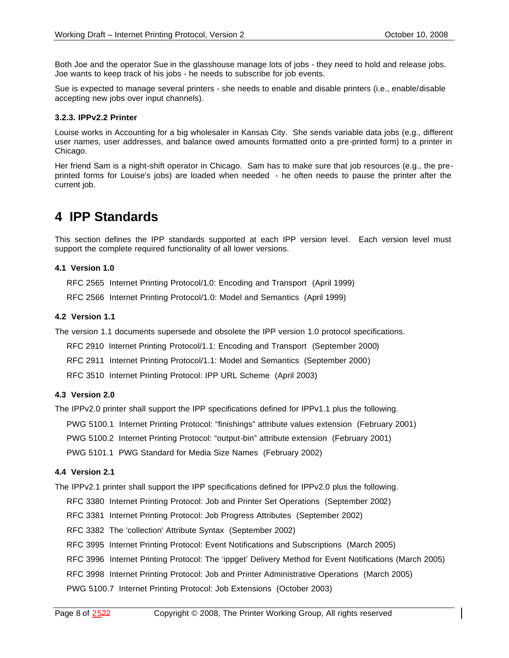Both Joe and the operator Sue in the glasshouse manage lots of jobs - they need to hold and release jobs. Joe wants to keep track of his jobs - he needs to subscribe for job events.

Sue is expected to manage several printers - she needs to enable and disable printers (i.e., enable/disable accepting new jobs over input channels).

#### **3.2.3. IPPv2.2 Printer**

Louise works in Accounting for a big wholesaler in Kansas City. She sends variable data jobs (e.g., different user names, user addresses, and balance owed amounts formatted onto a pre-printed form) to a printer in Chicago.

Her friend Sam is a night-shift operator in Chicago. Sam has to make sure that job resources (e.g., the preprinted forms for Louise's jobs) are loaded when needed - he often needs to pause the printer after the current job.

# **4 IPP Standards**

This section defines the IPP standards supported at each IPP version level. Each version level must support the complete required functionality of all lower versions.

#### **4.1 Version 1.0**

RFC 2565 Internet Printing Protocol/1.0: Encoding and Transport (April 1999)

RFC 2566 Internet Printing Protocol/1.0: Model and Semantics (April 1999)

#### **4.2 Version 1.1**

The version 1.1 documents supersede and obsolete the IPP version 1.0 protocol specifications.

RFC 2910 Internet Printing Protocol/1.1: Encoding and Transport (September 2000)

RFC 2911 Internet Printing Protocol/1.1: Model and Semantics (September 2000)

RFC 3510 Internet Printing Protocol: IPP URL Scheme (April 2003)

#### **4.3 Version 2.0**

The IPPv2.0 printer shall support the IPP specifications defined for IPPv1.1 plus the following.

PWG 5100.1 Internet Printing Protocol: "finishings" attribute values extension (February 2001)

PWG 5100.2 Internet Printing Protocol: "output-bin" attribute extension (February 2001)

PWG 5101.1 PWG Standard for Media Size Names (February 2002)

#### **4.4 Version 2.1**

The IPPv2.1 printer shall support the IPP specifications defined for IPPv2.0 plus the following.

RFC 3380 Internet Printing Protocol: Job and Printer Set Operations (September 2002)

RFC 3381 Internet Printing Protocol: Job Progress Attributes (September 2002)

RFC 3382 The 'collection' Attribute Syntax (September 2002)

RFC 3995 Internet Printing Protocol: Event Notifications and Subscriptions (March 2005)

RFC 3996 Internet Printing Protocol: The 'ippget' Delivery Method for Event Notifications (March 2005)

RFC 3998 Internet Printing Protocol: Job and Printer Administrative Operations (March 2005)

PWG 5100.7 Internet Printing Protocol: Job Extensions (October 2003)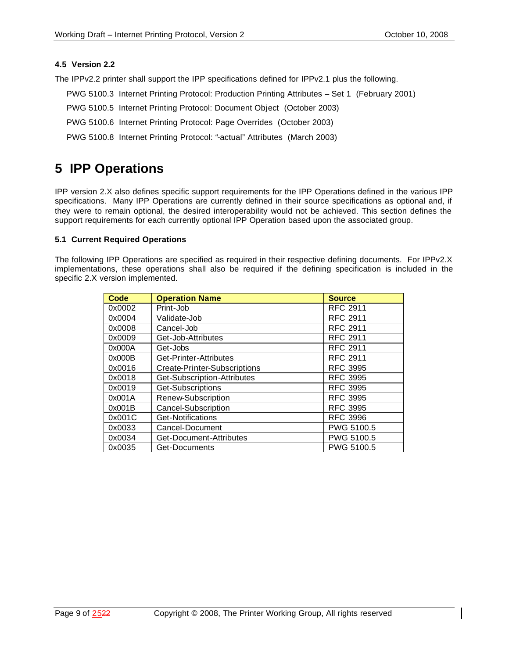#### **4.5 Version 2.2**

The IPPv2.2 printer shall support the IPP specifications defined for IPPv2.1 plus the following.

- PWG 5100.3 Internet Printing Protocol: Production Printing Attributes Set 1 (February 2001)
- PWG 5100.5 Internet Printing Protocol: Document Object (October 2003)
- PWG 5100.6 Internet Printing Protocol: Page Overrides (October 2003)
- PWG 5100.8 Internet Printing Protocol: "-actual" Attributes (March 2003)

# **5 IPP Operations**

IPP version 2.X also defines specific support requirements for the IPP Operations defined in the various IPP specifications. Many IPP Operations are currently defined in their source specifications as optional and, if they were to remain optional, the desired interoperability would not be achieved. This section defines the support requirements for each currently optional IPP Operation based upon the associated group.

#### **5.1 Current Required Operations**

The following IPP Operations are specified as required in their respective defining documents. For IPPv2.X implementations, these operations shall also be required if the defining specification is included in the specific 2.X version implemented.

| <b>Code</b> | <b>Operation Name</b>        | <b>Source</b>   |
|-------------|------------------------------|-----------------|
| 0x0002      | Print-Job                    | <b>RFC 2911</b> |
| 0x0004      | Validate-Job                 | <b>RFC 2911</b> |
| 0x0008      | Cancel-Job                   | <b>RFC 2911</b> |
| 0x0009      | Get-Job-Attributes           | <b>RFC 2911</b> |
| 0x000A      | Get-Jobs                     | <b>RFC 2911</b> |
| 0x000B      | Get-Printer-Attributes       | <b>RFC 2911</b> |
| 0x0016      | Create-Printer-Subscriptions | <b>RFC 3995</b> |
| 0x0018      | Get-Subscription-Attributes  | <b>RFC 3995</b> |
| 0x0019      | Get-Subscriptions            | <b>RFC 3995</b> |
| 0x001A      | Renew-Subscription           | <b>RFC 3995</b> |
| 0x001B      | Cancel-Subscription          | <b>RFC 3995</b> |
| 0x001C      | Get-Notifications            | <b>RFC 3996</b> |
| 0x0033      | Cancel-Document              | PWG 5100.5      |
| 0x0034      | Get-Document-Attributes      | PWG 5100.5      |
| 0x0035      | Get-Documents                | PWG 5100.5      |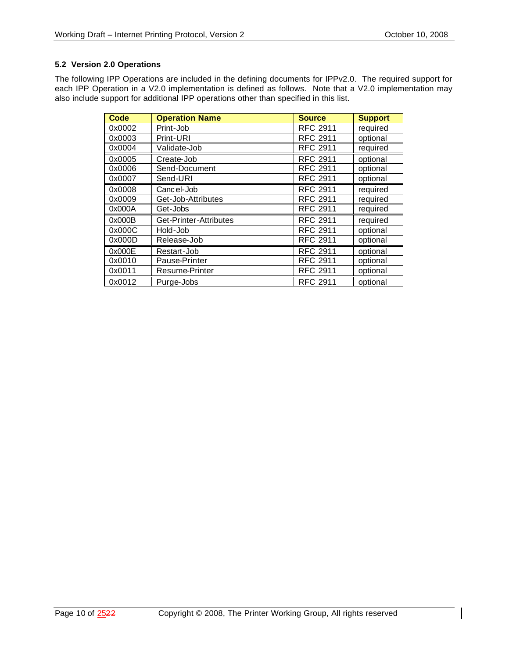# **5.2 Version 2.0 Operations**

The following IPP Operations are included in the defining documents for IPPv2.0. The required support for each IPP Operation in a V2.0 implementation is defined as follows. Note that a V2.0 implementation may also include support for additional IPP operations other than specified in this list.

| <b>Code</b> | <b>Operation Name</b>  | <b>Source</b>   | <b>Support</b> |
|-------------|------------------------|-----------------|----------------|
| 0x0002      | Print-Job              | <b>RFC 2911</b> | required       |
| 0x0003      | Print-URI              | <b>RFC 2911</b> | optional       |
| 0x0004      | Validate-Job           | <b>RFC 2911</b> | required       |
| 0x0005      | Create-Job             | <b>RFC 2911</b> | optional       |
| 0x0006      | Send-Document          | <b>RFC 2911</b> | optional       |
| 0x0007      | Send-URI               | <b>RFC 2911</b> | optional       |
| 0x0008      | Cancel-Job             | <b>RFC 2911</b> | required       |
| 0x0009      | Get-Job-Attributes     | <b>RFC 2911</b> | required       |
| 0x000A      | Get-Jobs               | <b>RFC 2911</b> | required       |
| 0x000B      | Get-Printer-Attributes | <b>RFC 2911</b> | required       |
| 0x000C      | Hold-Job               | <b>RFC 2911</b> | optional       |
| 0x000D      | Release-Job            | <b>RFC 2911</b> | optional       |
| 0x000E      | Restart-Job            | <b>RFC 2911</b> | optional       |
| 0x0010      | Pause-Printer          | <b>RFC 2911</b> | optional       |
| 0x0011      | Resume-Printer         | <b>RFC 2911</b> | optional       |
| 0x0012      | Purge-Jobs             | <b>RFC 2911</b> | optional       |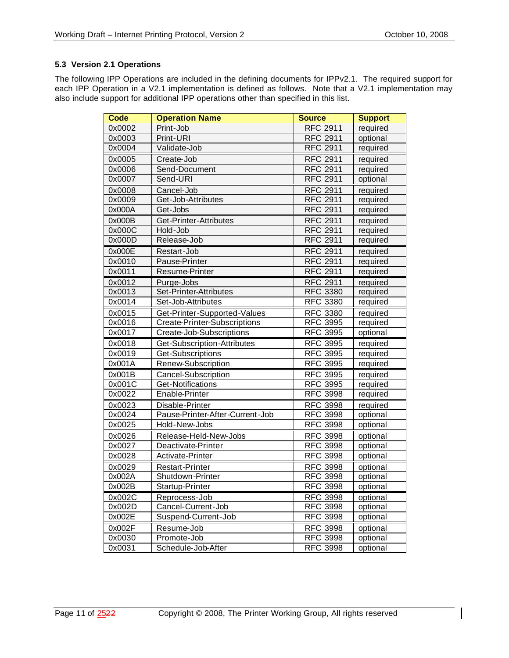# **5.3 Version 2.1 Operations**

The following IPP Operations are included in the defining documents for IPPv2.1. The required support for each IPP Operation in a V2.1 implementation is defined as follows. Note that a V2.1 implementation may also include support for additional IPP operations other than specified in this list.

| <b>Code</b>         | <b>Operation Name</b>           | <b>Source</b>   | <b>Support</b> |
|---------------------|---------------------------------|-----------------|----------------|
| 0x0002              | Print-Job                       | <b>RFC 2911</b> | required       |
| 0x0003              | Print-URI                       | <b>RFC 2911</b> | optional       |
| 0x0004              | Validate-Job                    | <b>RFC 2911</b> | required       |
| 0x0005              | Create-Job                      | <b>RFC 2911</b> | required       |
| 0x0006              | Send-Document                   | <b>RFC 2911</b> | required       |
| 0x0007              | Send-URI                        | <b>RFC 2911</b> | optional       |
| 0x0008              | Cancel-Job                      | <b>RFC 2911</b> | required       |
| 0x0009              | Get-Job-Attributes              | <b>RFC 2911</b> | required       |
| 0x000A              | Get-Jobs                        | <b>RFC 2911</b> | required       |
| 0x000B              | Get-Printer-Attributes          | <b>RFC 2911</b> | required       |
| 0x000C              | Hold-Job                        | <b>RFC 2911</b> | required       |
| 0x000D              | Release-Job                     | <b>RFC 2911</b> | required       |
| 0x000E              | Restart-Job                     | <b>RFC 2911</b> | required       |
| 0x0010              | Pause-Printer                   | <b>RFC 2911</b> | required       |
| 0x0011              | Resume-Printer                  | <b>RFC 2911</b> | required       |
| 0x0012              | Purge-Jobs                      | <b>RFC 2911</b> | required       |
| 0x0013              | Set-Printer-Attributes          | <b>RFC 3380</b> | required       |
| $0x001\overline{4}$ | Set-Job-Attributes              | <b>RFC 3380</b> | required       |
| 0x0015              | Get-Printer-Supported-Values    | <b>RFC 3380</b> | required       |
| 0x0016              | Create-Printer-Subscriptions    | <b>RFC 3995</b> | required       |
| 0x0017              | Create-Job-Subscriptions        | <b>RFC 3995</b> | optional       |
| 0x0018              | Get-Subscription-Attributes     | <b>RFC 3995</b> | required       |
| 0x0019              | Get-Subscriptions               | <b>RFC 3995</b> | required       |
| 0x001A              | Renew-Subscription              | <b>RFC 3995</b> | required       |
| 0x001B              | Cancel-Subscription             | <b>RFC 3995</b> | required       |
| 0x001C              | Get-Notifications               | <b>RFC 3995</b> | required       |
| 0x0022              | Enable-Printer                  | <b>RFC 3998</b> | required       |
| 0x0023              | Disable-Printer                 | <b>RFC 3998</b> | required       |
| 0x0024              | Pause-Printer-After-Current-Job | <b>RFC 3998</b> | optional       |
| 0x0025              | Hold-New-Jobs                   | <b>RFC 3998</b> | optional       |
| 0x0026              | Release-Held-New-Jobs           | <b>RFC 3998</b> | optional       |
| 0x0027              | Deactivate-Printer              | <b>RFC 3998</b> | optional       |
| 0x0028              | Activate-Printer                | <b>RFC 3998</b> | optional       |
| 0x0029              | <b>Restart-Printer</b>          | <b>RFC 3998</b> | optional       |
| 0x002A              | Shutdown-Printer                | <b>RFC 3998</b> | optional       |
| 0x002B              | Startup-Printer                 | <b>RFC 3998</b> | optional       |
| 0x002C              | Reprocess-Job                   | <b>RFC 3998</b> | optional       |
| 0x002D              | Cancel-Current-Job              | <b>RFC 3998</b> | optional       |
| 0x002E              | Suspend-Current-Job             | <b>RFC 3998</b> | optional       |
| 0x002F              | Resume-Job                      | <b>RFC 3998</b> | optional       |
| 0x0030              | Promote-Job                     | <b>RFC 3998</b> | optional       |
| 0x0031              | Schedule-Job-After              | <b>RFC 3998</b> | optional       |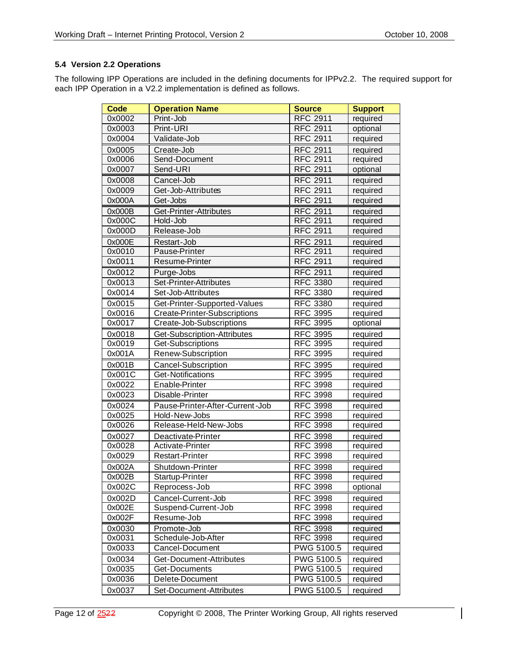# **5.4 Version 2.2 Operations**

The following IPP Operations are included in the defining documents for IPPv2.2. The required support for each IPP Operation in a V2.2 implementation is defined as follows.

| <b>Code</b> | <b>Operation Name</b>           | <b>Source</b>     | <b>Support</b> |
|-------------|---------------------------------|-------------------|----------------|
| 0x0002      | Print-Job                       | <b>RFC 2911</b>   | required       |
| 0x0003      | Print-URI                       | <b>RFC 2911</b>   | optional       |
| 0x0004      | Validate-Job                    | <b>RFC 2911</b>   | required       |
| 0x0005      | Create-Job                      | <b>RFC 2911</b>   | required       |
| 0x0006      | Send-Document                   | <b>RFC 2911</b>   | required       |
| 0x0007      | Send-URI                        | <b>RFC 2911</b>   | optional       |
| 0x0008      | Cancel-Job                      | <b>RFC 2911</b>   | required       |
| 0x0009      | Get-Job-Attributes              | <b>RFC 2911</b>   | required       |
| 0x000A      | Get-Jobs                        | <b>RFC 2911</b>   | required       |
| 0x000B      | Get-Printer-Attributes          | <b>RFC 2911</b>   | required       |
| 0x000C      | Hold-Job                        | <b>RFC 2911</b>   | required       |
| 0x000D      | Release-Job                     | <b>RFC 2911</b>   | required       |
| 0x000E      | Restart-Job                     | <b>RFC 2911</b>   | required       |
| 0x0010      | Pause-Printer                   | <b>RFC 2911</b>   | required       |
| 0x0011      | Resume-Printer                  | <b>RFC 2911</b>   | required       |
| 0x0012      | Purge-Jobs                      | <b>RFC 2911</b>   | required       |
| 0x0013      | Set-Printer-Attributes          | <b>RFC 3380</b>   | required       |
| 0x0014      | Set-Job-Attributes              | <b>RFC 3380</b>   | required       |
| 0x0015      | Get-Printer-Supported-Values    | <b>RFC 3380</b>   | required       |
| 0x0016      | Create-Printer-Subscriptions    | <b>RFC 3995</b>   | required       |
| 0x0017      | Create-Job-Subscriptions        | <b>RFC 3995</b>   | optional       |
| 0x0018      | Get-Subscription-Attributes     | <b>RFC 3995</b>   | required       |
| 0x0019      | Get-Subscriptions               | <b>RFC 3995</b>   | required       |
| 0x001A      | Renew-Subscription              | <b>RFC 3995</b>   | required       |
| 0x001B      | <b>Cancel-Subscription</b>      | <b>RFC 3995</b>   | required       |
| 0x001C      | Get-Notifications               | <b>RFC 3995</b>   | required       |
| 0x0022      | Enable-Printer                  | <b>RFC 3998</b>   | required       |
| 0x0023      | Disable-Printer                 | <b>RFC 3998</b>   | required       |
| 0x0024      | Pause-Printer-After-Current-Job | <b>RFC 3998</b>   | required       |
| 0x0025      | Hold-New-Jobs                   | <b>RFC 3998</b>   | required       |
| 0x0026      | Release-Held-New-Jobs           | <b>RFC 3998</b>   | required       |
| 0x0027      | Deactivate-Printer              | <b>RFC 3998</b>   | required       |
| 0x0028      | Activate-Printer                | <b>RFC 3998</b>   | required       |
| 0x0029      | <b>Restart-Printer</b>          | <b>RFC 3998</b>   | required       |
| 0x002A      | Shutdown-Printer                | <b>RFC 3998</b>   | required       |
| 0x002B      | Startup-Printer                 | RFC 3998          | required       |
| 0x002C      | Reprocess-Job                   | <b>RFC 3998</b>   | optional       |
| 0x002D      | Cancel-Current-Job              | <b>RFC 3998</b>   | required       |
| 0x002E      | Suspend-Current-Job             | <b>RFC 3998</b>   | required       |
| 0x002F      | Resume-Job                      | <b>RFC 3998</b>   | required       |
| 0x0030      | Promote-Job                     | <b>RFC 3998</b>   | required       |
| 0x0031      | Schedule-Job-After              | <b>RFC 3998</b>   | required       |
| 0x0033      | Cancel-Document                 | PWG 5100.5        | required       |
| 0x0034      | Get-Document-Attributes         | PWG 5100.5        | required       |
| 0x0035      | Get-Documents                   | <b>PWG 5100.5</b> | required       |
| 0x0036      | Delete-Document                 | PWG 5100.5        | required       |
| 0x0037      | Set-Document-Attributes         | PWG 5100.5        | required       |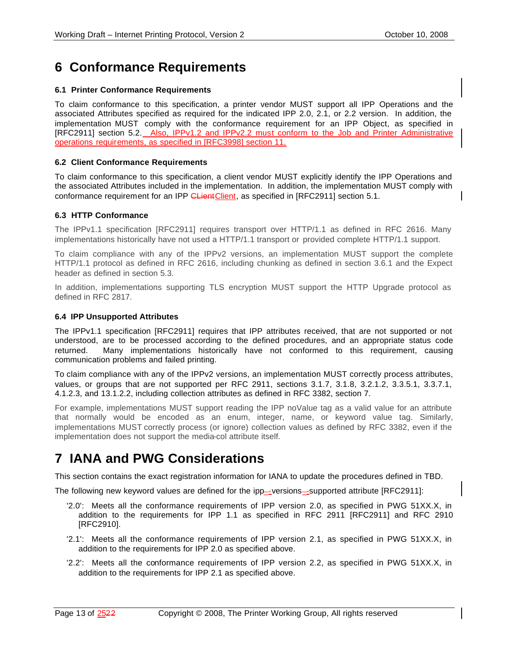# **6 Conformance Requirements**

### **6.1 Printer Conformance Requirements**

To claim conformance to this specification, a printer vendor MUST support all IPP Operations and the associated Attributes specified as required for the indicated IPP 2.0, 2.1, or 2.2 version. In addition, the implementation MUST comply with the conformance requirement for an IPP Object, as specified in [RFC2911] section 5.2. Also, IPPv1.2 and IPPv2.2 must conform to the Job and Printer Administrative operations requirements, as specified in [RFC3998] section 11.

#### **6.2 Client Conformance Requirements**

To claim conformance to this specification, a client vendor MUST explicitly identify the IPP Operations and the associated Attributes included in the implementation. In addition, the implementation MUST comply with conformance requirement for an IPP CLientClient, as specified in [RFC2911] section 5.1.

#### **6.3 HTTP Conformance**

The IPPv1.1 specification [RFC2911] requires transport over HTTP/1.1 as defined in RFC 2616. Many implementations historically have not used a HTTP/1.1 transport or provided complete HTTP/1.1 support.

To claim compliance with any of the IPPv2 versions, an implementation MUST support the complete HTTP/1.1 protocol as defined in RFC 2616, including chunking as defined in section 3.6.1 and the Expect header as defined in section 5.3.

In addition, implementations supporting TLS encryption MUST support the HTTP Upgrade protocol as defined in RFC 2817.

#### **6.4 IPP Unsupported Attributes**

The IPPv1.1 specification [RFC2911] requires that IPP attributes received, that are not supported or not understood, are to be processed according to the defined procedures, and an appropriate status code returned. Many implementations historically have not conformed to this requirement, causing communication problems and failed printing.

To claim compliance with any of the IPPv2 versions, an implementation MUST correctly process attributes, values, or groups that are not supported per RFC 2911, sections 3.1.7, 3.1.8, 3.2.1.2, 3.3.5.1, 3.3.7.1, 4.1.2.3, and 13.1.2.2, including collection attributes as defined in RFC 3382, section 7.

For example, implementations MUST support reading the IPP noValue tag as a valid value for an attribute that normally would be encoded as an enum, integer, name, or keyword value tag. Similarly, implementations MUST correctly process (or ignore) collection values as defined by RFC 3382, even if the implementation does not support the media-col attribute itself.

# **7 IANA and PWG Considerations**

This section contains the exact registration information for IANA to update the procedures defined in TBD.

The following new keyword values are defined for the ipp—-versions—-supported attribute [RFC2911]:

- '2.0': Meets all the conformance requirements of IPP version 2.0, as specified in PWG 51XX.X, in addition to the requirements for IPP 1.1 as specified in RFC 2911 [RFC2911] and RFC 2910 [RFC2910].
- '2.1': Meets all the conformance requirements of IPP version 2.1, as specified in PWG 51XX.X, in addition to the requirements for IPP 2.0 as specified above.
- '2.2': Meets all the conformance requirements of IPP version 2.2, as specified in PWG 51XX.X, in addition to the requirements for IPP 2.1 as specified above.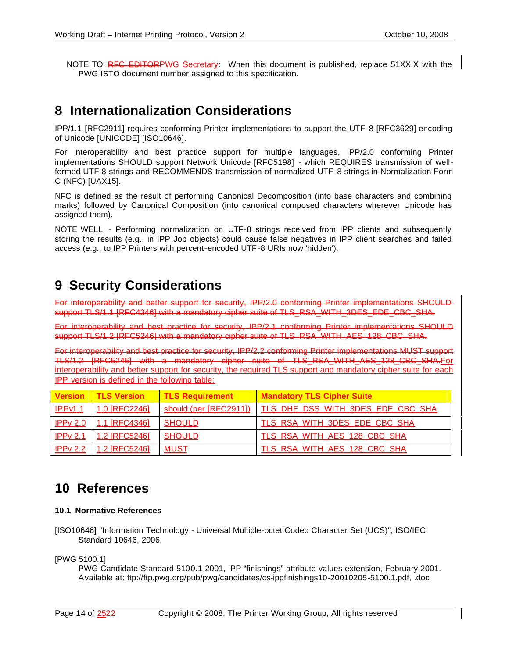NOTE TO RFC EDITORPWG Secretary: When this document is published, replace 51XX.X with the PWG ISTO document number assigned to this specification.

# **8 Internationalization Considerations**

IPP/1.1 [RFC2911] requires conforming Printer implementations to support the UTF-8 [RFC3629] encoding of Unicode [UNICODE] [ISO10646].

For interoperability and best practice support for multiple languages, IPP/2.0 conforming Printer implementations SHOULD support Network Unicode [RFC5198] - which REQUIRES transmission of wellformed UTF-8 strings and RECOMMENDS transmission of normalized UTF-8 strings in Normalization Form C (NFC) [UAX15].

NFC is defined as the result of performing Canonical Decomposition (into base characters and combining marks) followed by Canonical Composition (into canonical composed characters wherever Unicode has assigned them).

NOTE WELL - Performing normalization on UTF-8 strings received from IPP clients and subsequently storing the results (e.g., in IPP Job objects) could cause false negatives in IPP client searches and failed access (e.g., to IPP Printers with percent-encoded UTF -8 URIs now 'hidden').

# **9 Security Considerations**

For interoperability and better support for security, IPP/2.0 conforming Printer implementations SHOULD support TLS/1.1 [RFC4346] with a mandatory cipher suite of TLS\_RSA\_WITH\_3DES\_EDE\_CBC\_SHA.

For interoperability and best practice for security, IPP/2.1 conforming Printer implementations SHOULD support TLS/1.2 [RFC5246] with a mandatory cipher suite of TLS\_RSA\_WITH\_AES\_128\_CBC\_SHA.

For interoperability and best practice for security, IPP/2.2 conforming Printer implementations MUST support TLS/1.2 [RFC5246] with a mandatory cipher suite of TLS\_RSA\_WITH\_AES\_128\_CBC\_SHA.For interoperability and better support for security, the required TLS support and mandatory cipher suite for each IPP version is defined in the following table:

| <b>Version</b>       | <u>∣ TLS Version</u> | <b>TLS Requirement</b> | <b>Mandatory TLS Cipher Suite</b> |
|----------------------|----------------------|------------------------|-----------------------------------|
| IPPV <sub>1</sub> .1 | 1.0 [RFC2246]        | should (per [RFC2911]) | TLS DHE DSS WITH 3DES EDE CBC SHA |
| IPPv 2.0             | $1.1$ [RFC4346]      | <b>SHOULD</b>          | TLS RSA WITH 3DES EDE CBC SHA     |
| IPPV 2.1             | 1.2 [RFC5246]        | <b>SHOULD</b>          | TLS RSA WITH AES 128 CBC SHA      |
| IPP $v$ 2.2          | 1.2 [RFC5246]        | MUST                   | TLS RSA WITH AES 128 CBC SHA      |

# **10 References**

# **10.1 Normative References**

[ISO10646] "Information Technology - Universal Multiple-octet Coded Character Set (UCS)", ISO/IEC Standard 10646, 2006.

[PWG 5100.1]

PWG Candidate Standard 5100.1-2001, IPP "finishings" attribute values extension, February 2001. Available at: ftp://ftp.pwg.org/pub/pwg/candidates/cs-ippfinishings10-20010205-5100.1.pdf, .doc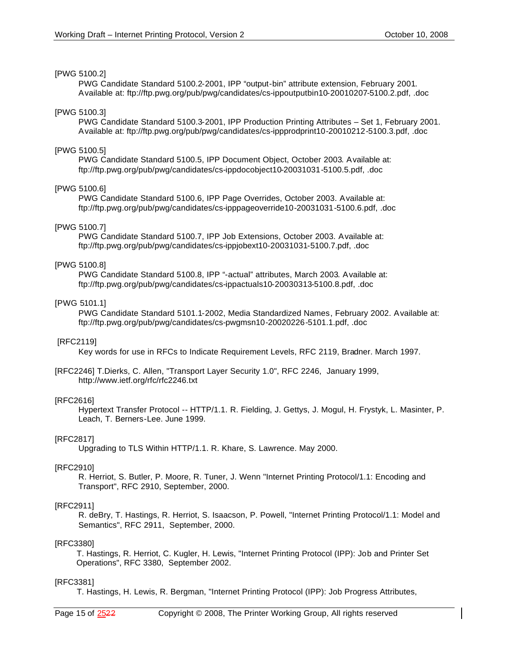#### [PWG 5100.2]

PWG Candidate Standard 5100.2-2001, IPP "output-bin" attribute extension, February 2001. Available at: ftp://ftp.pwg.org/pub/pwg/candidates/cs-ippoutputbin10-20010207-5100.2.pdf, .doc

### [PWG 5100.3]

PWG Candidate Standard 5100.3-2001, IPP Production Printing Attributes – Set 1, February 2001. Available at: ftp://ftp.pwg.org/pub/pwg/candidates/cs-ippprodprint10-20010212-5100.3.pdf, .doc

#### [PWG 5100.5]

PWG Candidate Standard 5100.5, IPP Document Object, October 2003. Available at: ftp://ftp.pwg.org/pub/pwg/candidates/cs-ippdocobject10-20031031-5100.5.pdf, .doc

#### [PWG 5100.6]

PWG Candidate Standard 5100.6, IPP Page Overrides, October 2003. Available at: ftp://ftp.pwg.org/pub/pwg/candidates/cs-ipppageoverride10-20031031-5100.6.pdf, .doc

#### [PWG 5100.7]

PWG Candidate Standard 5100.7, IPP Job Extensions, October 2003. Available at: ftp://ftp.pwg.org/pub/pwg/candidates/cs-ippjobext10-20031031-5100.7.pdf, .doc

#### [PWG 5100.8]

PWG Candidate Standard 5100.8, IPP "-actual" attributes, March 2003. Available at: ftp://ftp.pwg.org/pub/pwg/candidates/cs-ippactuals10-20030313-5100.8.pdf, .doc

#### [PWG 5101.1]

PWG Candidate Standard 5101.1-2002, Media Standardized Names, February 2002. Available at: ftp://ftp.pwg.org/pub/pwg/candidates/cs-pwgmsn10-20020226-5101.1.pdf, .doc

#### [RFC2119]

Key words for use in RFCs to Indicate Requirement Levels, RFC 2119, Bradner. March 1997.

[RFC2246] T.Dierks, C. Allen, "Transport Layer Security 1.0", RFC 2246, January 1999, http://www.ietf.org/rfc/rfc2246.txt

# [RFC2616]

Hypertext Transfer Protocol -- HTTP/1.1. R. Fielding, J. Gettys, J. Mogul, H. Frystyk, L. Masinter, P. Leach, T. Berners-Lee. June 1999.

# [RFC2817]

Upgrading to TLS Within HTTP/1.1. R. Khare, S. Lawrence. May 2000.

#### [RFC2910]

R. Herriot, S. Butler, P. Moore, R. Tuner, J. Wenn "Internet Printing Protocol/1.1: Encoding and Transport", RFC 2910, September, 2000.

#### [RFC2911]

R. deBry, T. Hastings, R. Herriot, S. Isaacson, P. Powell, "Internet Printing Protocol/1.1: Model and Semantics", RFC 2911, September, 2000.

#### [RFC3380]

 T. Hastings, R. Herriot, C. Kugler, H. Lewis, "Internet Printing Protocol (IPP): Job and Printer Set Operations", RFC 3380, September 2002.

# [RFC3381]

T. Hastings, H. Lewis, R. Bergman, "Internet Printing Protocol (IPP): Job Progress Attributes,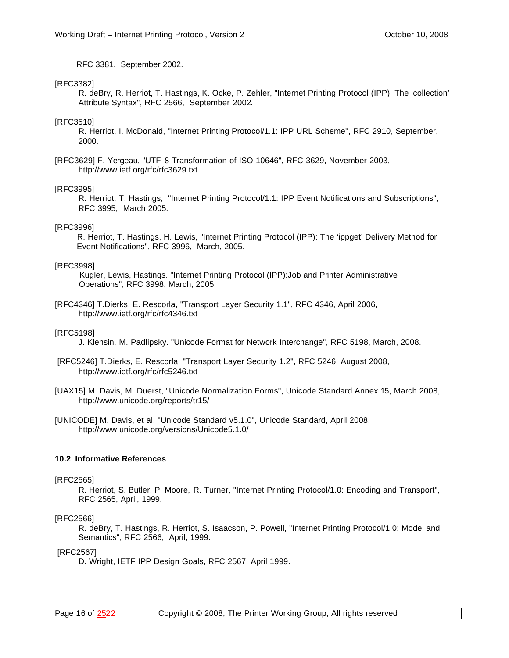RFC 3381, September 2002.

#### [RFC3382]

R. deBry, R. Herriot, T. Hastings, K. Ocke, P. Zehler, "Internet Printing Protocol (IPP): The 'collection' Attribute Syntax", RFC 2566, September 2002.

#### [RFC3510]

R. Herriot, I. McDonald, "Internet Printing Protocol/1.1: IPP URL Scheme", RFC 2910, September, 2000.

[RFC3629] F. Yergeau, "UTF-8 Transformation of ISO 10646", RFC 3629, November 2003, http://www.ietf.org/rfc/rfc3629.txt

#### [RFC3995]

R. Herriot, T. Hastings, "Internet Printing Protocol/1.1: IPP Event Notifications and Subscriptions", RFC 3995, March 2005.

#### [RFC3996]

 R. Herriot, T. Hastings, H. Lewis, "Internet Printing Protocol (IPP): The 'ippget' Delivery Method for Event Notifications", RFC 3996, March, 2005.

#### [RFC3998]

 Kugler, Lewis, Hastings. "Internet Printing Protocol (IPP):Job and Printer Administrative Operations", RFC 3998, March, 2005.

[RFC4346] T.Dierks, E. Rescorla, "Transport Layer Security 1.1", RFC 4346, April 2006, http://www.ietf.org/rfc/rfc4346.txt

#### [RFC5198]

J. Klensin, M. Padlipsky. "Unicode Format for Network Interchange", RFC 5198, March, 2008.

- [RFC5246] T.Dierks, E. Rescorla, "Transport Layer Security 1.2", RFC 5246, August 2008, http://www.ietf.org/rfc/rfc5246.txt
- [UAX15] M. Davis, M. Duerst, "Unicode Normalization Forms", Unicode Standard Annex 15, March 2008, http://www.unicode.org/reports/tr15/
- [UNICODE] M. Davis, et al, "Unicode Standard v5.1.0", Unicode Standard, April 2008, http://www.unicode.org/versions/Unicode5.1.0/

#### **10.2 Informative References**

#### [RFC2565]

R. Herriot, S. Butler, P. Moore, R. Turner, "Internet Printing Protocol/1.0: Encoding and Transport", RFC 2565, April, 1999.

#### [RFC2566]

R. deBry, T. Hastings, R. Herriot, S. Isaacson, P. Powell, "Internet Printing Protocol/1.0: Model and Semantics", RFC 2566, April, 1999.

#### [RFC2567]

D. Wright, IETF IPP Design Goals, RFC 2567, April 1999.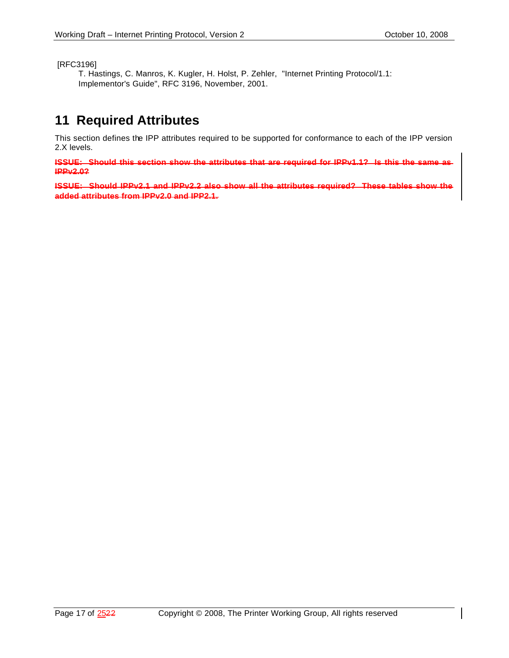[RFC3196]

T. Hastings, C. Manros, K. Kugler, H. Holst, P. Zehler, "Internet Printing Protocol/1.1: Implementor's Guide", RFC 3196, November, 2001.

# **11 Required Attributes**

This section defines the IPP attributes required to be supported for conformance to each of the IPP version 2.X levels.

**ISSUE: Should this section show the attributes that are required for IPPv1.1? Is this the same as IPPv2.0?**

**ISSUE: Should IPPv2.1 and IPPv2.2 also show all the attributes required? These tables show the added attributes from IPPv2.0 and IPP2.1.**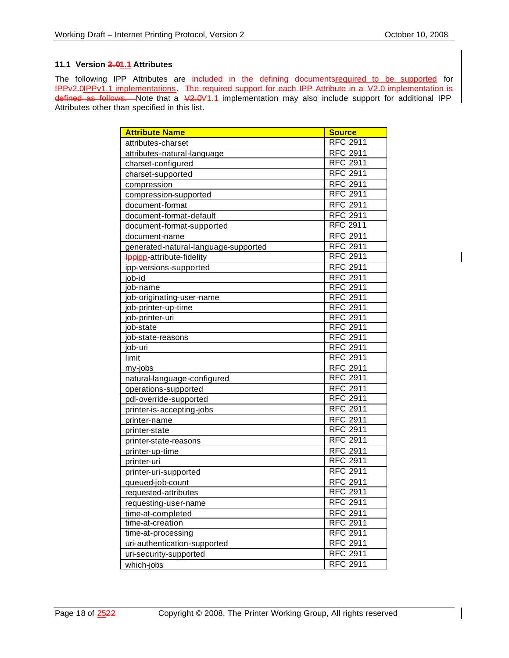# **11.1 Version 2.01.1 Attributes**

The following IPP Attributes are included in the defining documentsrequired to be supported for IPPv2.0IPPv1.1 implementations. The required support for each IPP Attribute in a V2.0 implementation is defined as follows. Note that a  $V2.0V1.1$  implementation may also include support for additional IPP Attributes other than specified in this list.

| <b>Attribute Name</b>                | <b>Source</b>   |
|--------------------------------------|-----------------|
| attributes-charset                   | RFC 2911        |
| attributes-natural-language          | <b>RFC 2911</b> |
| charset-configured                   | <b>RFC 2911</b> |
| charset-supported                    | <b>RFC 2911</b> |
| compression                          | <b>RFC 2911</b> |
| compression-supported                | <b>RFC 2911</b> |
| document-format                      | <b>RFC 2911</b> |
| document-format-default              | <b>RFC 2911</b> |
| document-format-supported            | <b>RFC 2911</b> |
| document-name                        | <b>RFC 2911</b> |
| generated-natural-language-supported | <b>RFC 2911</b> |
| <b>Ippipp</b> -attribute-fidelity    | <b>RFC 2911</b> |
| ipp-versions-supported               | <b>RFC 2911</b> |
| job-id                               | RFC 2911        |
| job-name                             | <b>RFC 2911</b> |
| job-originating-user-name            | <b>RFC 2911</b> |
| job-printer-up-time                  | <b>RFC 2911</b> |
| job-printer-uri                      | <b>RFC 2911</b> |
| job-state                            | <b>RFC 2911</b> |
| job-state-reasons                    | <b>RFC 2911</b> |
| job-uri                              | <b>RFC 2911</b> |
| limit                                | <b>RFC 2911</b> |
| my-jobs                              | <b>RFC 2911</b> |
| natural-language-configured          | <b>RFC 2911</b> |
| operations-supported                 | <b>RFC 2911</b> |
| pdl-override-supported               | <b>RFC 2911</b> |
| printer-is-accepting-jobs            | <b>RFC 2911</b> |
| printer-name                         | <b>RFC 2911</b> |
| printer-state                        | <b>RFC 2911</b> |
| printer-state-reasons                | <b>RFC 2911</b> |
| printer-up-time                      | <b>RFC 2911</b> |
| printer-uri                          | <b>RFC 2911</b> |
| printer-uri-supported                | <b>RFC 2911</b> |
| queued-job-count                     | RFC 2911        |
| requested-attributes                 | <b>RFC 2911</b> |
| requesting-user-name                 | <b>RFC 2911</b> |
| time-at-completed                    | <b>RFC 2911</b> |
| time-at-creation                     | <b>RFC 2911</b> |
| time-at-processing                   | <b>RFC 2911</b> |
| uri-authentication-supported         | <b>RFC 2911</b> |
| uri-security-supported               | <b>RFC 2911</b> |
| which-jobs                           | <b>RFC 2911</b> |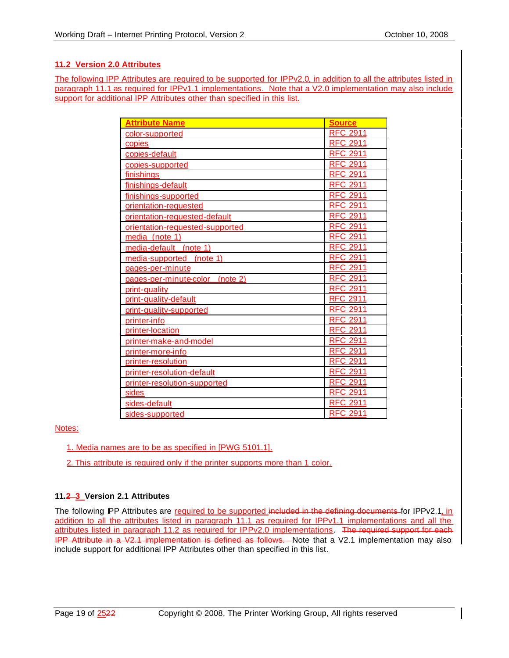# **11.2 Version 2.0 Attributes**

The following IPP Attributes are required to be supported for IPPv2.0, in addition to all the attributes listed in paragraph 11.1 as required for IPPv1.1 implementations. Note that a V2.0 implementation may also include support for additional IPP Attributes other than specified in this list.

| <b>Attribute Name</b>           | <b>Source</b>   |
|---------------------------------|-----------------|
| color-supported                 | <b>RFC 2911</b> |
| copies                          | <b>RFC 2911</b> |
| copies-default                  | <b>RFC 2911</b> |
| copies-supported                | <b>RFC 2911</b> |
| finishings                      | <b>RFC 2911</b> |
| finishings-default              | <b>RFC 2911</b> |
| finishings-supported            | <b>RFC 2911</b> |
| orientation-requested           | <b>RFC 2911</b> |
| orientation-requested-default   | <b>RFC 2911</b> |
| orientation-requested-supported | RFC 2911        |
| media (note 1)                  | <b>RFC 2911</b> |
| media-default (note 1)          | <b>RFC 2911</b> |
| media-supported (note 1)        | <b>RFC 2911</b> |
| pages-per-minute                | <b>RFC 2911</b> |
| pages-per-minute-color (note 2) | RFC 2911        |
| print-quality                   | <b>RFC 2911</b> |
| print-quality-default           | <b>RFC 2911</b> |
| print-quality-supported         | <b>RFC 2911</b> |
| printer-info                    | <b>RFC 2911</b> |
| printer-location                | <b>RFC 2911</b> |
| printer-make-and-model          | <b>RFC 2911</b> |
| printer-more-info               | <b>RFC 2911</b> |
| printer-resolution              | <b>RFC 2911</b> |
| printer-resolution-default      | <b>RFC 2911</b> |
| printer-resolution-supported    | <b>RFC 2911</b> |
| sides                           | <b>RFC 2911</b> |
| sides-default                   | <b>RFC 2911</b> |
| sides-supported                 | <b>RFC 2911</b> |

# Notes:

- 1. Media names are to be as specified in [PWG 5101.1].
- 2. This attribute is required only if the printer supports more than 1 color.

# **11.2 3 Version 2.1 Attributes**

The following IPP Attributes are required to be supported included in the defining documents for IPPv2.1, in addition to all the attributes listed in paragraph 11.1 as required for IPPv1.1 implementations and all the attributes listed in paragraph 11.2 as required for IPPv2.0 implementations. The required support for each IPP Attribute in a V2.1 implementation is defined as follows. Note that a V2.1 implementation may also include support for additional IPP Attributes other than specified in this list.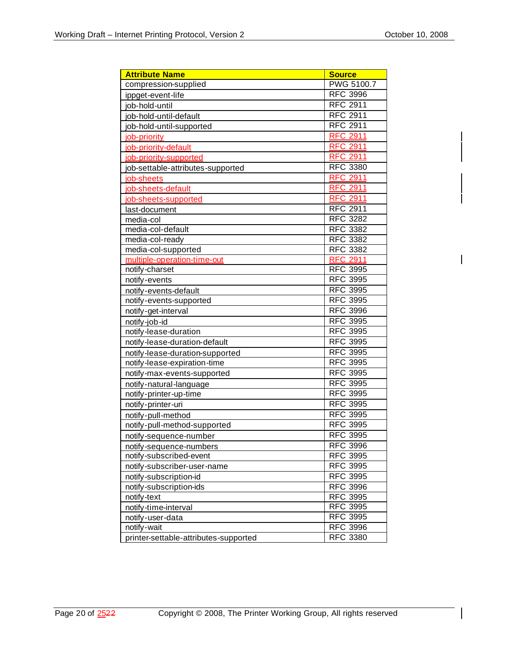$\overline{\phantom{a}}$ 

| <b>Attribute Name</b>                 | <b>Source</b>   |
|---------------------------------------|-----------------|
| compression-supplied                  | PWG 5100.7      |
| ippget-event-life                     | <b>RFC 3996</b> |
| job-hold-until                        | <b>RFC 2911</b> |
| job-hold-until-default                | <b>RFC 2911</b> |
| job-hold-until-supported              | <b>RFC 2911</b> |
| job-priority                          | <b>RFC 2911</b> |
| job-priority-default                  | <b>RFC 2911</b> |
| job-priority-supported                | <b>RFC 2911</b> |
| job-settable-attributes-supported     | <b>RFC 3380</b> |
| job-sheets                            | <b>RFC 2911</b> |
| job-sheets-default                    | <b>RFC 2911</b> |
| job-sheets-supported                  | <b>RFC 2911</b> |
| last-document                         | <b>RFC 2911</b> |
| media-col                             | <b>RFC 3282</b> |
| media-col-default                     | <b>RFC 3382</b> |
| media-col-ready                       | <b>RFC 3382</b> |
| media-col-supported                   | <b>RFC 3382</b> |
| multiple-operation-time-out           | <u>RFC 2911</u> |
| notify-charset                        | <b>RFC 3995</b> |
| notify-events                         | <b>RFC 3995</b> |
| notify-events-default                 | <b>RFC 3995</b> |
| notify-events-supported               | <b>RFC 3995</b> |
| notify-get-interval                   | <b>RFC 3996</b> |
| notify-job-id                         | <b>RFC 3995</b> |
| notify-lease-duration                 | <b>RFC 3995</b> |
| notify-lease-duration-default         | <b>RFC 3995</b> |
| notify-lease-duration-supported       | <b>RFC 3995</b> |
| notify-lease-expiration-time          | <b>RFC 3995</b> |
| notify-max-events-supported           | <b>RFC 3995</b> |
| notify-natural-language               | <b>RFC 3995</b> |
| notify-printer-up-time                | <b>RFC 3995</b> |
| notify-printer-uri                    | <b>RFC 3995</b> |
| notify-pull-method                    | <b>RFC 3995</b> |
| notify-pull-method-supported          | <b>RFC 3995</b> |
| notify-sequence-number                | <b>RFC 3995</b> |
| notify-sequence-numbers               | <b>RFC 3996</b> |
| notify-subscribed-event               | <b>RFC 3995</b> |
| notify-subscriber-user-name           | <b>RFC 3995</b> |
| notify-subscription-id                | <b>RFC 3995</b> |
| notify-subscription-ids               | <b>RFC 3996</b> |
| notify-text                           | <b>RFC 3995</b> |
| notify-time-interval                  | <b>RFC 3995</b> |
| notify-user-data                      | <b>RFC 3995</b> |
| notify-wait                           | <b>RFC 3996</b> |
| printer-settable-attributes-supported | <b>RFC 3380</b> |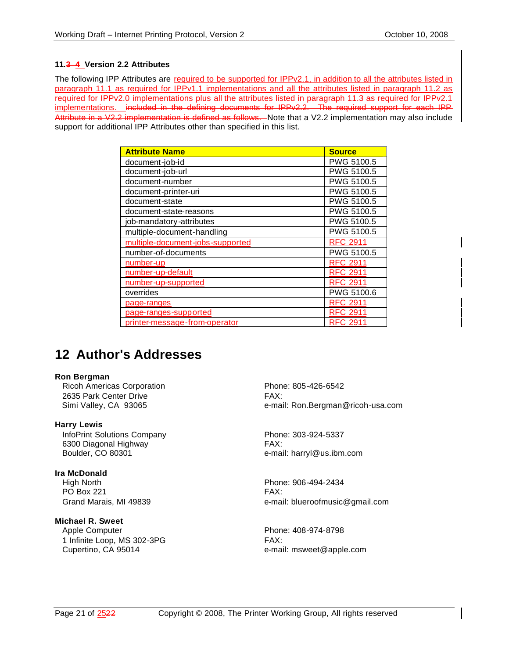# **11.3 4 Version 2.2 Attributes**

The following IPP Attributes are required to be supported for IPPv2.1, in addition to all the attributes listed in paragraph 11.1 as required for IPPv1.1 implementations and all the attributes listed in paragraph 11.2 as required for IPPv2.0 implementations plus all the attributes listed in paragraph 11.3 as required for IPPv2.1 implementations. included in the defining documents for IPPv2.2. The required support for each IPP Attribute in a V2.2 implementation is defined as follows. Note that a V2.2 implementation may also include support for additional IPP Attributes other than specified in this list.

| <b>Attribute Name</b>            | <b>Source</b>   |
|----------------------------------|-----------------|
| document-job-id                  | PWG 5100.5      |
| document-job-url                 | PWG 5100.5      |
| document-number                  | PWG 5100.5      |
| document-printer-uri             | PWG 5100.5      |
| document-state                   | PWG 5100.5      |
| document-state-reasons           | PWG 5100.5      |
| job-mandatory-attributes         | PWG 5100.5      |
| multiple-document-handling       | PWG 5100.5      |
| multiple-document-jobs-supported | <b>RFC 2911</b> |
| number-of-documents              | PWG 5100.5      |
| number-up                        | <b>RFC 2911</b> |
| number-up-default                | <b>RFC 2911</b> |
| number-up-supported              | <b>RFC 2911</b> |
| overrides                        | PWG 5100.6      |
| page-ranges                      | <b>RFC 2911</b> |
| page-ranges-supported            | <b>RFC 2911</b> |
| printer-message-from-operator    | <b>RFC 2911</b> |

# **12 Author's Addresses**

#### **Ron Bergman**

Ricoh Americas Corporation **Phone: 805-426-6542** 2635 Park Center Drive FAX:

**Harry Lewis** InfoPrint Solutions Company Phone: 303-924-5337 6300 Diagonal Highway FAX:

# **Ira McDonald**

 High North Phone: 906-494-2434 PO Box 221 FAX:

# **Michael R. Sweet**

Apple Computer **Phone: 408-974-8798** 1 Infinite Loop, MS 302-3PG FAX: Cupertino, CA 95014 **EXECUPER EXECUPER E-mail:** msweet@apple.com

Simi Valley, CA 93065 e-mail: Ron.Bergman@ricoh-usa.com

Boulder, CO 80301 e-mail: harryl@us.ibm.com

Grand Marais, MI 49839 **butter and State and Taracceretists** e-mail: blueroofmusic@gmail.com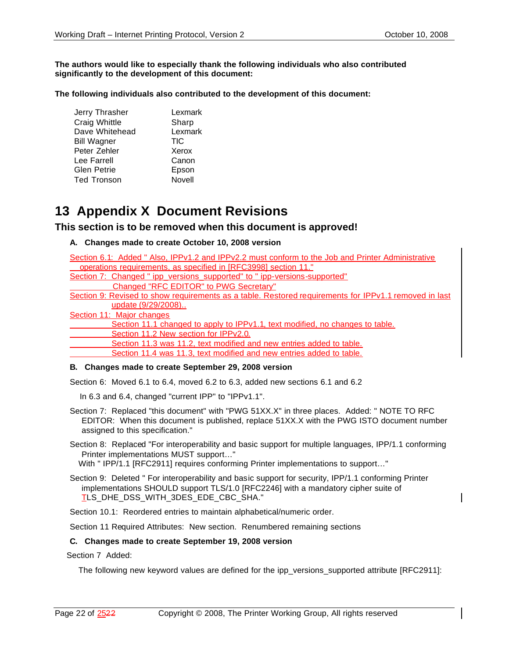#### **The authors would like to especially thank the following individuals who also contributed significantly to the development of this document:**

**The following individuals also contributed to the development of this document:**

| Jerry Thrasher     | Lexmark    |
|--------------------|------------|
| Craig Whittle      | Sharp      |
| Dave Whitehead     | Lexmark    |
| <b>Bill Wagner</b> | <b>TIC</b> |
| Peter Zehler       | Xerox      |
| Lee Farrell        | Canon      |
| Glen Petrie        | Epson      |
| <b>Ted Tronson</b> | Novell     |
|                    |            |

# **13 Appendix X Document Revisions**

# **This section is to be removed when this document is approved!**

# **A. Changes made to create October 10, 2008 version**

Section 6.1: Added " Also, IPPv1.2 and IPPv2.2 must conform to the Job and Printer Administrative operations requirements, as specified in [RFC3998] section 11." Section 7: Changed " ipp\_versions\_supported" to " ipp-versions-supported" Changed "RFC EDITOR" to PWG Secretary" Section 9: Revised to show requirements as a table. Restored requirements for IPPv1.1 removed in last update (9/29/2008).. Section 11: Major changes Section 11.1 changed to apply to IPPv1.1, text modified, no changes to table. Section 11.2 New section for IPPv2.0. Section 11.3 was 11.2, text modified and new entries added to table. Section 11.4 was 11.3, text modified and new entries added to table.

# **B. Changes made to create September 29, 2008 version**

Section 6: Moved 6.1 to 6.4, moved 6.2 to 6.3, added new sections 6.1 and 6.2

In 6.3 and 6.4, changed "current IPP" to "IPPv1.1".

- Section 7: Replaced "this document" with "PWG 51XX.X" in three places. Added: " NOTE TO RFC EDITOR: When this document is published, replace 51XX.X with the PWG ISTO document number assigned to this specification."
- Section 8: Replaced "For interoperability and basic support for multiple languages, IPP/1.1 conforming Printer implementations MUST support…"
	- With " IPP/1.1 [RFC2911] requires conforming Printer implementations to support…"
- Section 9: Deleted " For interoperability and basic support for security, IPP/1.1 conforming Printer implementations SHOULD support TLS/1.0 [RFC2246] with a mandatory cipher suite of TLS\_DHE\_DSS\_WITH\_3DES\_EDE\_CBC\_SHA."

Section 10.1: Reordered entries to maintain alphabetical/numeric order.

Section 11 Required Attributes: New section. Renumbered remaining sections

# **C. Changes made to create September 19, 2008 version**

Section 7 Added:

The following new keyword values are defined for the ipp versions supported attribute [RFC2911]: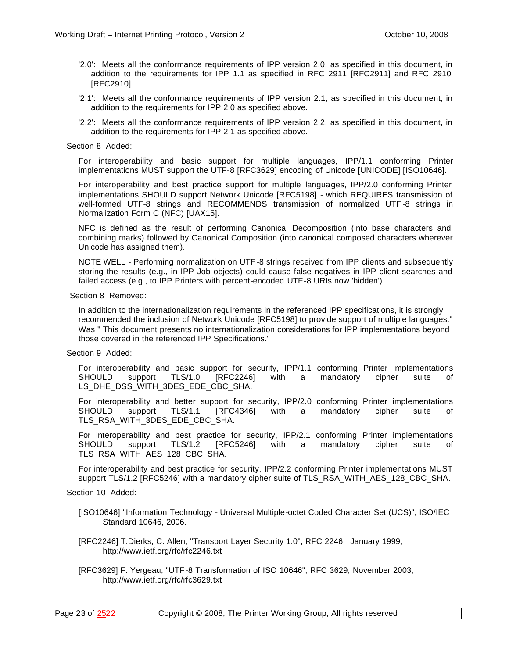- '2.0': Meets all the conformance requirements of IPP version 2.0, as specified in this document, in addition to the requirements for IPP 1.1 as specified in RFC 2911 [RFC2911] and RFC 2910 [RFC2910].
- '2.1': Meets all the conformance requirements of IPP version 2.1, as specified in this document, in addition to the requirements for IPP 2.0 as specified above.
- '2.2': Meets all the conformance requirements of IPP version 2.2, as specified in this document, in addition to the requirements for IPP 2.1 as specified above.

#### Section 8 Added:

For interoperability and basic support for multiple languages, IPP/1.1 conforming Printer implementations MUST support the UTF-8 [RFC3629] encoding of Unicode [UNICODE] [ISO10646].

For interoperability and best practice support for multiple languages, IPP/2.0 conforming Printer implementations SHOULD support Network Unicode [RFC5198] - which REQUIRES transmission of well-formed UTF-8 strings and RECOMMENDS transmission of normalized UTF -8 strings in Normalization Form C (NFC) [UAX15].

NFC is defined as the result of performing Canonical Decomposition (into base characters and combining marks) followed by Canonical Composition (into canonical composed characters wherever Unicode has assigned them).

NOTE WELL - Performing normalization on UTF -8 strings received from IPP clients and subsequently storing the results (e.g., in IPP Job objects) could cause false negatives in IPP client searches and failed access (e.g., to IPP Printers with percent-encoded UTF-8 URIs now 'hidden').

#### Section 8 Removed:

In addition to the internationalization requirements in the referenced IPP specifications, it is strongly recommended the inclusion of Network Unicode [RFC5198] to provide support of multiple languages." Was " This document presents no internationalization considerations for IPP implementations beyond those covered in the referenced IPP Specifications."

#### Section 9 Added:

For interoperability and basic support for security, IPP/1.1 conforming Printer implementations SHOULD support TLS/1.0 [RFC2246] with a mandatory cipher suite of LS\_DHE\_DSS\_WITH\_3DES\_EDE\_CBC\_SHA.

For interoperability and better support for security, IPP/2.0 conforming Printer implementations SHOULD support TLS/1.1 [RFC4346] with a mandatory cipher suite of TLS\_RSA\_WITH\_3DES\_EDE\_CBC\_SHA.

For interoperability and best practice for security, IPP/2.1 conforming Printer implementations SHOULD support TLS/1.2 [RFC5246] with a mandatory cipher suite of TLS\_RSA\_WITH\_AES\_128\_CBC\_SHA.

For interoperability and best practice for security, IPP/2.2 conforming Printer implementations MUST support TLS/1.2 [RFC5246] with a mandatory cipher suite of TLS\_RSA\_WITH\_AES\_128\_CBC\_SHA.

#### Section 10 Added:

- [ISO10646] "Information Technology Universal Multiple-octet Coded Character Set (UCS)", ISO/IEC Standard 10646, 2006.
- [RFC2246] T.Dierks, C. Allen, "Transport Layer Security 1.0", RFC 2246, January 1999, http://www.ietf.org/rfc/rfc2246.txt
- [RFC3629] F. Yergeau, "UTF -8 Transformation of ISO 10646", RFC 3629, November 2003, http://www.ietf.org/rfc/rfc3629.txt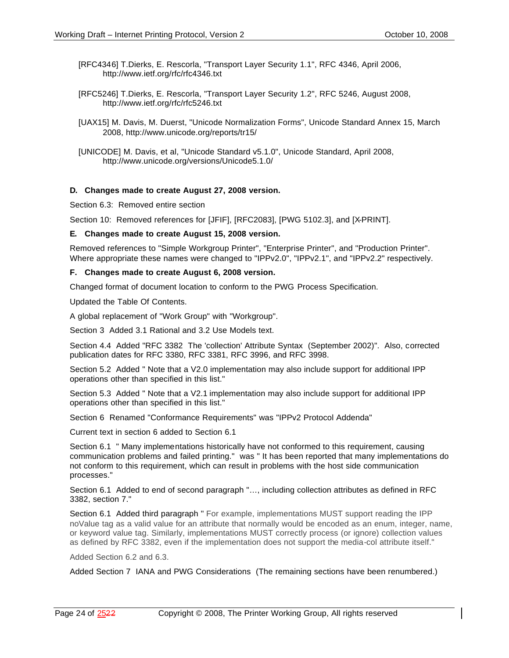- [RFC4346] T.Dierks, E. Rescorla, "Transport Layer Security 1.1", RFC 4346, April 2006, http://www.ietf.org/rfc/rfc4346.txt
- [RFC5246] T.Dierks, E. Rescorla, "Transport Layer Security 1.2", RFC 5246, August 2008, http://www.ietf.org/rfc/rfc5246.txt
- [UAX15] M. Davis, M. Duerst, "Unicode Normalization Forms", Unicode Standard Annex 15, March 2008, http://www.unicode.org/reports/tr15/
- [UNICODE] M. Davis, et al, "Unicode Standard v5.1.0", Unicode Standard, April 2008, http://www.unicode.org/versions/Unicode5.1.0/

#### **D. Changes made to create August 27, 2008 version.**

Section 6.3: Removed entire section

Section 10: Removed references for [JFIF], [RFC2083], [PWG 5102.3], and [X-PRINT].

#### **E. Changes made to create August 15, 2008 version.**

Removed references to "Simple Workgroup Printer", "Enterprise Printer", and "Production Printer". Where appropriate these names were changed to "IPPv2.0", "IPPv2.1", and "IPPv2.2" respectively.

#### **F. Changes made to create August 6, 2008 version.**

Changed format of document location to conform to the PWG Process Specification.

Updated the Table Of Contents.

A global replacement of "Work Group" with "Workgroup".

Section 3 Added 3.1 Rational and 3.2 Use Models text.

Section 4.4 Added "RFC 3382 The 'collection' Attribute Syntax (September 2002)". Also, corrected publication dates for RFC 3380, RFC 3381, RFC 3996, and RFC 3998.

Section 5.2 Added " Note that a V2.0 implementation may also include support for additional IPP operations other than specified in this list."

Section 5.3 Added " Note that a V2.1 implementation may also include support for additional IPP operations other than specified in this list."

Section 6 Renamed "Conformance Requirements" was "IPPv2 Protocol Addenda"

Current text in section 6 added to Section 6.1

Section 6.1 " Many implementations historically have not conformed to this requirement, causing communication problems and failed printing." was " It has been reported that many implementations do not conform to this requirement, which can result in problems with the host side communication processes."

Section 6.1 Added to end of second paragraph "…, including collection attributes as defined in RFC 3382, section 7."

Section 6.1 Added third paragraph " For example, implementations MUST support reading the IPP noValue tag as a valid value for an attribute that normally would be encoded as an enum, integer, name, or keyword value tag. Similarly, implementations MUST correctly process (or ignore) collection values as defined by RFC 3382, even if the implementation does not support the media-col attribute itself."

Added Section 6.2 and 6.3.

Added Section 7 IANA and PWG Considerations (The remaining sections have been renumbered.)